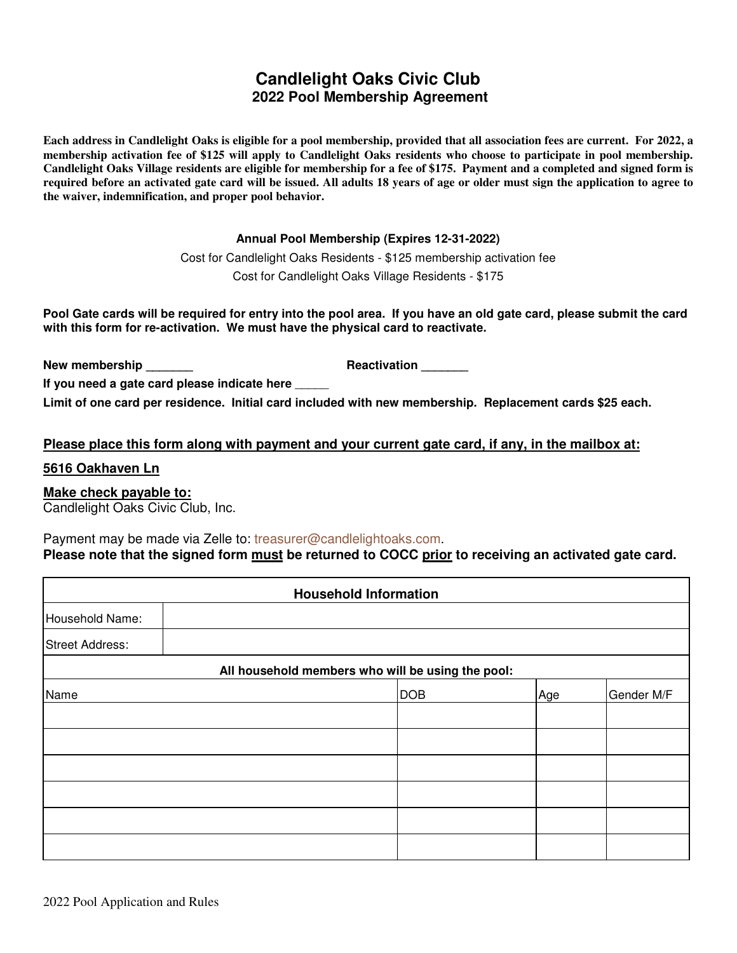# **Candlelight Oaks Civic Club 2022 Pool Membership Agreement**

**Each address in Candlelight Oaks is eligible for a pool membership, provided that all association fees are current. For 2022, a membership activation fee of \$125 will apply to Candlelight Oaks residents who choose to participate in pool membership. Candlelight Oaks Village residents are eligible for membership for a fee of \$175. Payment and a completed and signed form is required before an activated gate card will be issued. All adults 18 years of age or older must sign the application to agree to the waiver, indemnification, and proper pool behavior.** 

#### **Annual Pool Membership (Expires 12-31-2022)**

Cost for Candlelight Oaks Residents - \$125 membership activation fee Cost for Candlelight Oaks Village Residents - \$175

**Pool Gate cards will be required for entry into the pool area. If you have an old gate card, please submit the card with this form for re-activation. We must have the physical card to reactivate.** 

**New membership \_\_\_\_\_\_\_ Reactivation \_\_\_\_\_\_\_**

**If you need a gate card please indicate here** \_\_\_\_\_

**Limit of one card per residence. Initial card included with new membership. Replacement cards \$25 each.**

#### **Please place this form along with payment and your current gate card, if any, in the mailbox at:**

#### **5616 Oakhaven Ln**

### **Make check payable to:**

Candlelight Oaks Civic Club, Inc.

Payment may be made via Zelle to: treasurer@candlelightoaks.com. Please note that the signed form **must** be returned to COCC prior to receiving an activated gate card.

| <b>Household Information</b> |  |                                                   |     |            |  |
|------------------------------|--|---------------------------------------------------|-----|------------|--|
| Household Name:              |  |                                                   |     |            |  |
| <b>Street Address:</b>       |  |                                                   |     |            |  |
|                              |  | All household members who will be using the pool: |     |            |  |
| Name                         |  | <b>DOB</b>                                        | Age | Gender M/F |  |
|                              |  |                                                   |     |            |  |
|                              |  |                                                   |     |            |  |
|                              |  |                                                   |     |            |  |
|                              |  |                                                   |     |            |  |
|                              |  |                                                   |     |            |  |
|                              |  |                                                   |     |            |  |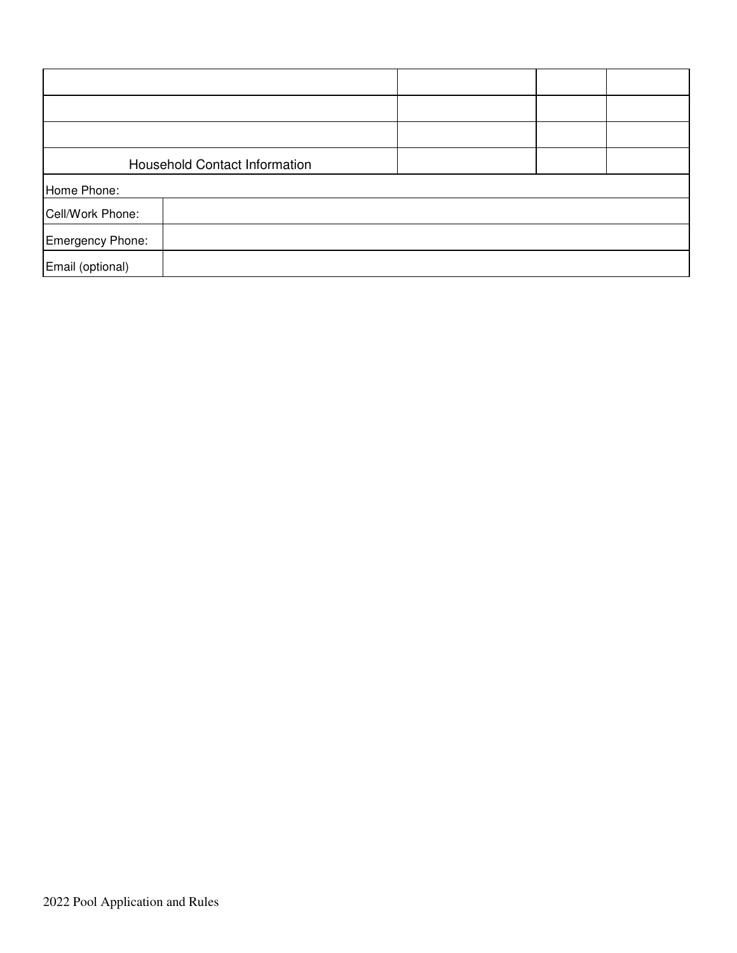| <b>Household Contact Information</b> |  |  |  |
|--------------------------------------|--|--|--|
| Home Phone:                          |  |  |  |
| Cell/Work Phone:                     |  |  |  |
| Emergency Phone:                     |  |  |  |
| Email (optional)                     |  |  |  |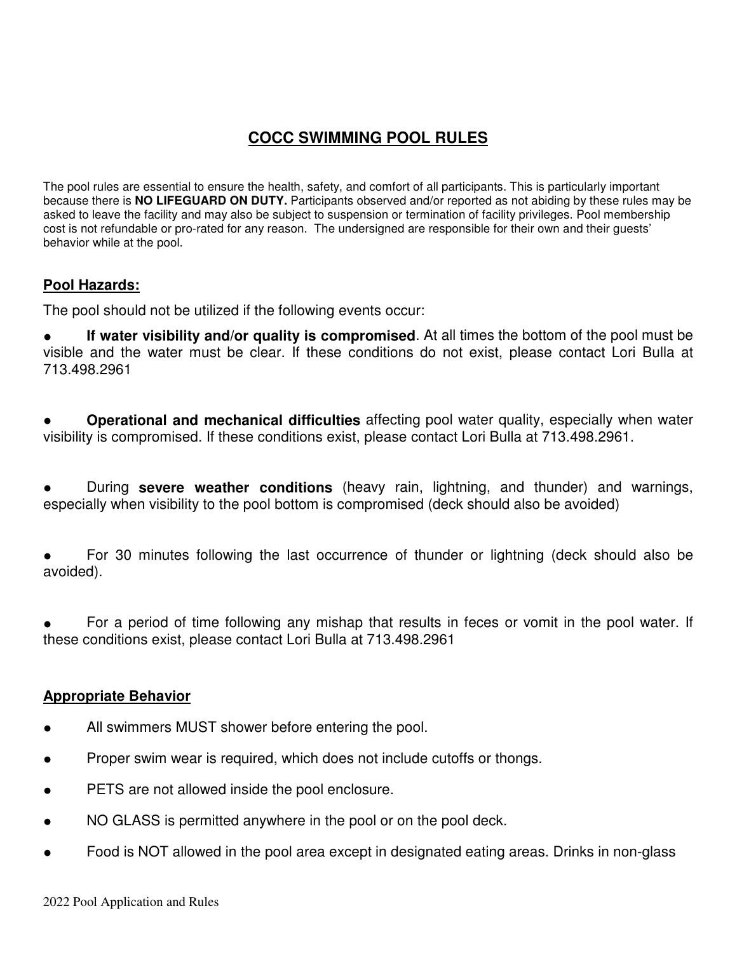# **COCC SWIMMING POOL RULES**

The pool rules are essential to ensure the health, safety, and comfort of all participants. This is particularly important because there is **NO LIFEGUARD ON DUTY.** Participants observed and/or reported as not abiding by these rules may be asked to leave the facility and may also be subject to suspension or termination of facility privileges. Pool membership cost is not refundable or pro-rated for any reason. The undersigned are responsible for their own and their guests' behavior while at the pool.

## **Pool Hazards:**

The pool should not be utilized if the following events occur:

**If water visibility and/or quality is compromised.** At all times the bottom of the pool must be visible and the water must be clear. If these conditions do not exist, please contact Lori Bulla at 713.498.2961

**Operational and mechanical difficulties** affecting pool water quality, especially when water visibility is compromised. If these conditions exist, please contact Lori Bulla at 713.498.2961.

During **severe weather conditions** (heavy rain, lightning, and thunder) and warnings, especially when visibility to the pool bottom is compromised (deck should also be avoided)

For 30 minutes following the last occurrence of thunder or lightning (deck should also be avoided).

For a period of time following any mishap that results in feces or vomit in the pool water. If these conditions exist, please contact Lori Bulla at 713.498.2961

## **Appropriate Behavior**

- All swimmers MUST shower before entering the pool.
- Proper swim wear is required, which does not include cutoffs or thongs.
- PETS are not allowed inside the pool enclosure.
- NO GLASS is permitted anywhere in the pool or on the pool deck.
- Food is NOT allowed in the pool area except in designated eating areas. Drinks in non-glass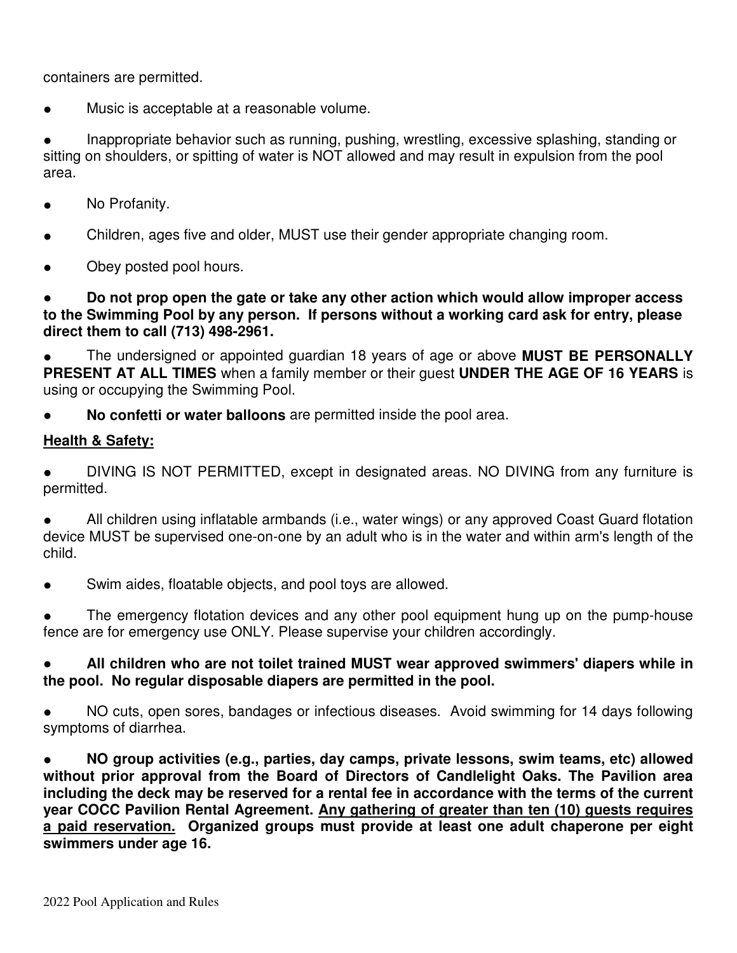containers are permitted.

● Music is acceptable at a reasonable volume.

Inappropriate behavior such as running, pushing, wrestling, excessive splashing, standing or sitting on shoulders, or spitting of water is NOT allowed and may result in expulsion from the pool area.

- No Profanity.
- Children, ages five and older, MUST use their gender appropriate changing room.
- Obey posted pool hours.

● **Do not prop open the gate or take any other action which would allow improper access to the Swimming Pool by any person. If persons without a working card ask for entry, please direct them to call (713) 498-2961.**

The undersigned or appointed guardian 18 years of age or above **MUST BE PERSONALLY PRESENT AT ALL TIMES** when a family member or their guest **UNDER THE AGE OF 16 YEARS** is using or occupying the Swimming Pool.

No confetti or water balloons are permitted inside the pool area.

## **Health & Safety:**

DIVING IS NOT PERMITTED, except in designated areas. NO DIVING from any furniture is permitted.

All children using inflatable armbands (i.e., water wings) or any approved Coast Guard flotation device MUST be supervised one-on-one by an adult who is in the water and within arm's length of the child.

Swim aides, floatable objects, and pool toys are allowed.

The emergency flotation devices and any other pool equipment hung up on the pump-house fence are for emergency use ONLY. Please supervise your children accordingly.

## All children who are not toilet trained MUST wear approved swimmers' diapers while in **the pool. No regular disposable diapers are permitted in the pool.**

NO cuts, open sores, bandages or infectious diseases. Avoid swimming for 14 days following symptoms of diarrhea.

● **NO group activities (e.g., parties, day camps, private lessons, swim teams, etc) allowed without prior approval from the Board of Directors of Candlelight Oaks. The Pavilion area including the deck may be reserved for a rental fee in accordance with the terms of the current year COCC Pavilion Rental Agreement. Any gathering of greater than ten (10) guests requires a paid reservation. Organized groups must provide at least one adult chaperone per eight swimmers under age 16.**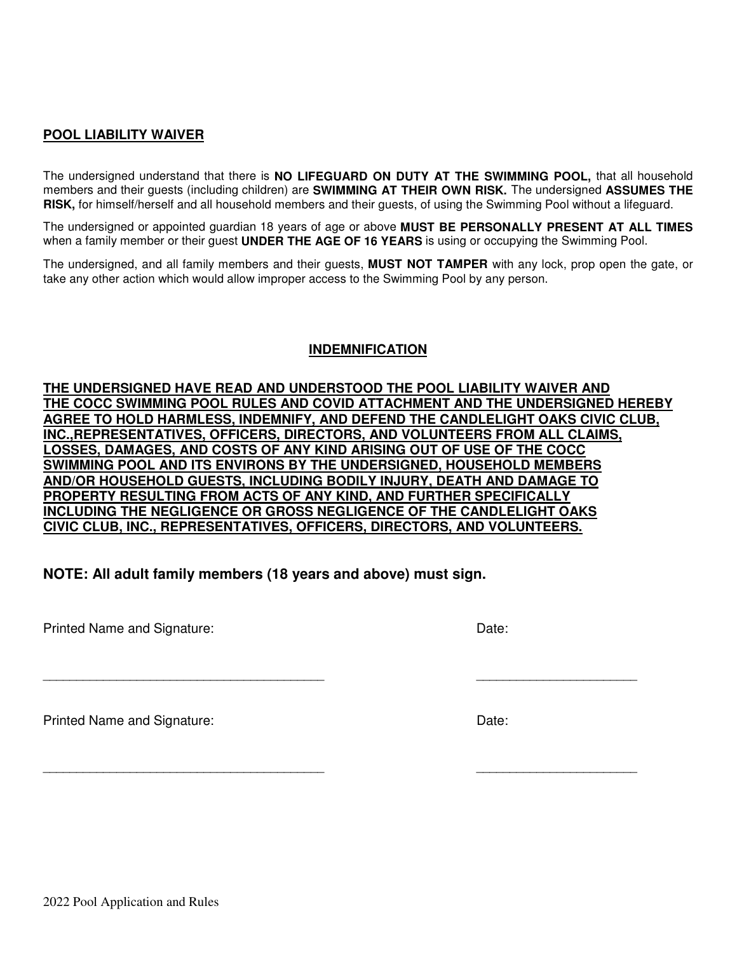### **POOL LIABILITY WAIVER**

The undersigned understand that there is **NO LIFEGUARD ON DUTY AT THE SWIMMING POOL,** that all household members and their guests (including children) are **SWIMMING AT THEIR OWN RISK.** The undersigned **ASSUMES THE RISK,** for himself/herself and all household members and their guests, of using the Swimming Pool without a lifeguard.

The undersigned or appointed guardian 18 years of age or above **MUST BE PERSONALLY PRESENT AT ALL TIMES**  when a family member or their guest **UNDER THE AGE OF 16 YEARS** is using or occupying the Swimming Pool.

The undersigned, and all family members and their guests, **MUST NOT TAMPER** with any lock, prop open the gate, or take any other action which would allow improper access to the Swimming Pool by any person.

#### **INDEMNIFICATION**

**THE UNDERSIGNED HAVE READ AND UNDERSTOOD THE POOL LIABILITY WAIVER AND THE COCC SWIMMING POOL RULES AND COVID ATTACHMENT AND THE UNDERSIGNED HEREBY AGREE TO HOLD HARMLESS, INDEMNIFY, AND DEFEND THE CANDLELIGHT OAKS CIVIC CLUB, INC.,REPRESENTATIVES, OFFICERS, DIRECTORS, AND VOLUNTEERS FROM ALL CLAIMS, LOSSES, DAMAGES, AND COSTS OF ANY KIND ARISING OUT OF USE OF THE COCC SWIMMING POOL AND ITS ENVIRONS BY THE UNDERSIGNED, HOUSEHOLD MEMBERS AND/OR HOUSEHOLD GUESTS, INCLUDING BODILY INJURY, DEATH AND DAMAGE TO PROPERTY RESULTING FROM ACTS OF ANY KIND, AND FURTHER SPECIFICALLY INCLUDING THE NEGLIGENCE OR GROSS NEGLIGENCE OF THE CANDLELIGHT OAKS CIVIC CLUB, INC., REPRESENTATIVES, OFFICERS, DIRECTORS, AND VOLUNTEERS.**

 $\overline{\phantom{a}}$  , and the contribution of the contribution of the contribution of the contribution of the contribution of the contribution of the contribution of the contribution of the contribution of the contribution of the

 $\overline{\phantom{a}}$  , and the contribution of the contribution of the contribution of the contribution of the contribution of the contribution of the contribution of the contribution of the contribution of the contribution of the

**NOTE: All adult family members (18 years and above) must sign.**

Printed Name and Signature: Date:

Printed Name and Signature: Date:

2022 Pool Application and Rules